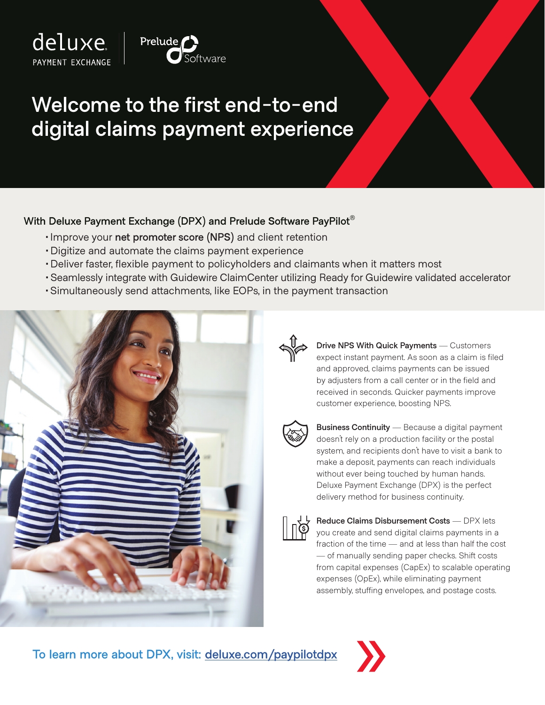



## **Welcome to the first end-to-end digital claims payment experience**

## **With Deluxe Payment Exchange (DPX) and Prelude Software PayPilot®**

- •Improve your **net promoter score (NPS)** and client retention
- •Digitize and automate the claims payment experience
- •Deliver faster, flexible payment to policyholders and claimants when it matters most
- •Seamlessly integrate with Guidewire ClaimCenter utilizing Ready for Guidewire validated accelerator
- •Simultaneously send attachments, like EOPs, in the payment transaction





**Drive NPS With Quick Payments** — Customers expect instant payment. As soon as a claim is filed and approved, claims payments can be issued by adjusters from a call center or in the field and received in seconds. Quicker payments improve customer experience, boosting NPS.



**Business Continuity** — Because a digital payment doesn't rely on a production facility or the postal system, and recipients don't have to visit a bank to make a deposit, payments can reach individuals without ever being touched by human hands. Deluxe Payment Exchange (DPX) is the perfect delivery method for business continuity.



**Reduce Claims Disbursement Costs** — DPX lets you create and send digital claims payments in a fraction of the time — and at less than half the cost — of manually sending paper checks. Shift costs from capital expenses (CapEx) to scalable operating expenses (OpEx), while eliminating payment assembly, stuffing envelopes, and postage costs.

**To learn more about DPX, visit: [deluxe.com/paypilotdpx](https://www.deluxe.com/echecks/prelude)**